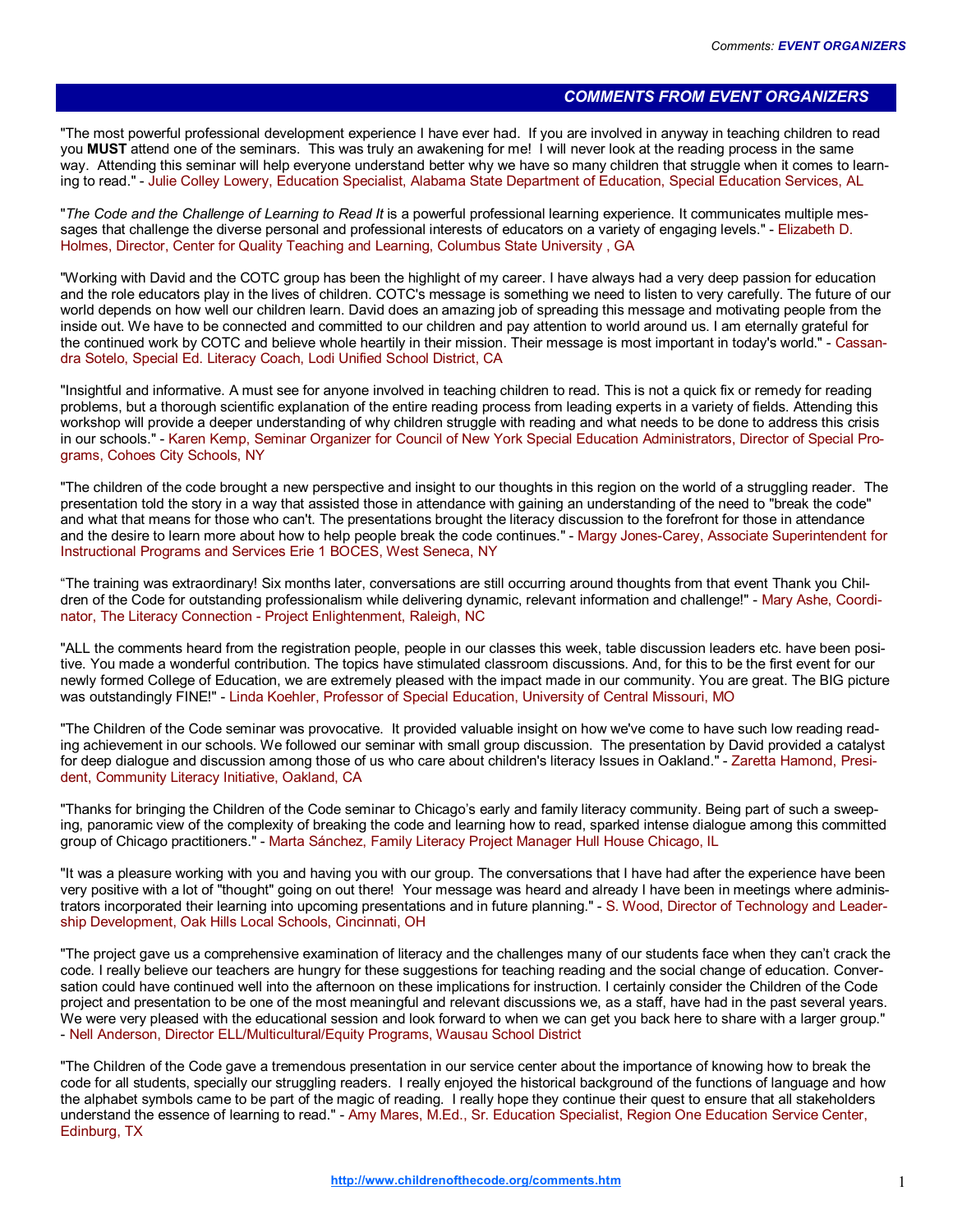## COMMENTS FROM EVENT ORGANIZERS

"The most powerful professional development experience I have ever had. If you are involved in anyway in teaching children to read you MUST attend one of the seminars. This was truly an awakening for me! I will never look at the reading process in the same way. Attending this seminar will help everyone understand better why we have so many children that struggle when it comes to learning to read." - Julie Colley Lowery, Education Specialist, Alabama State Department of Education, Special Education Services, AL

"The Code and the Challenge of Learning to Read It is a powerful professional learning experience. It communicates multiple messages that challenge the diverse personal and professional interests of educators on a variety of engaging levels." - Elizabeth D. Holmes, Director, Center for Quality Teaching and Learning, Columbus State University , GA

"Working with David and the COTC group has been the highlight of my career. I have always had a very deep passion for education and the role educators play in the lives of children. COTC's message is something we need to listen to very carefully. The future of our world depends on how well our children learn. David does an amazing job of spreading this message and motivating people from the inside out. We have to be connected and committed to our children and pay attention to world around us. I am eternally grateful for the continued work by COTC and believe whole heartily in their mission. Their message is most important in today's world." - Cassandra Sotelo, Special Ed. Literacy Coach, Lodi Unified School District, CA

"Insightful and informative. A must see for anyone involved in teaching children to read. This is not a quick fix or remedy for reading problems, but a thorough scientific explanation of the entire reading process from leading experts in a variety of fields. Attending this workshop will provide a deeper understanding of why children struggle with reading and what needs to be done to address this crisis in our schools." - Karen Kemp, Seminar Organizer for Council of New York Special Education Administrators, Director of Special Programs, Cohoes City Schools, NY

"The children of the code brought a new perspective and insight to our thoughts in this region on the world of a struggling reader. The presentation told the story in a way that assisted those in attendance with gaining an understanding of the need to "break the code" and what that means for those who can't. The presentations brought the literacy discussion to the forefront for those in attendance and the desire to learn more about how to help people break the code continues." - Margy Jones-Carey, Associate Superintendent for Instructional Programs and Services Erie 1 BOCES, West Seneca, NY

"The training was extraordinary! Six months later, conversations are still occurring around thoughts from that event Thank you Children of the Code for outstanding professionalism while delivering dynamic, relevant information and challenge!" - Mary Ashe, Coordinator, The Literacy Connection - Project Enlightenment, Raleigh, NC

"ALL the comments heard from the registration people, people in our classes this week, table discussion leaders etc. have been positive. You made a wonderful contribution. The topics have stimulated classroom discussions. And, for this to be the first event for our newly formed College of Education, we are extremely pleased with the impact made in our community. You are great. The BIG picture was outstandingly FINE!" - Linda Koehler, Professor of Special Education, University of Central Missouri, MO

"The Children of the Code seminar was provocative. It provided valuable insight on how we've come to have such low reading reading achievement in our schools. We followed our seminar with small group discussion. The presentation by David provided a catalyst for deep dialogue and discussion among those of us who care about children's literacy Issues in Oakland." - Zaretta Hamond, President, Community Literacy Initiative, Oakland, CA

"Thanks for bringing the Children of the Code seminar to Chicago's early and family literacy community. Being part of such a sweeping, panoramic view of the complexity of breaking the code and learning how to read, sparked intense dialogue among this committed group of Chicago practitioners." - Marta Sánchez, Family Literacy Project Manager Hull House Chicago, IL

"It was a pleasure working with you and having you with our group. The conversations that I have had after the experience have been very positive with a lot of "thought" going on out there! Your message was heard and already I have been in meetings where administrators incorporated their learning into upcoming presentations and in future planning." - S. Wood, Director of Technology and Leadership Development, Oak Hills Local Schools, Cincinnati, OH

"The project gave us a comprehensive examination of literacy and the challenges many of our students face when they can't crack the code. I really believe our teachers are hungry for these suggestions for teaching reading and the social change of education. Conversation could have continued well into the afternoon on these implications for instruction. I certainly consider the Children of the Code project and presentation to be one of the most meaningful and relevant discussions we, as a staff, have had in the past several years. We were very pleased with the educational session and look forward to when we can get you back here to share with a larger group." - Nell Anderson, Director ELL/Multicultural/Equity Programs, Wausau School District

"The Children of the Code gave a tremendous presentation in our service center about the importance of knowing how to break the code for all students, specially our struggling readers. I really enjoyed the historical background of the functions of language and how the alphabet symbols came to be part of the magic of reading. I really hope they continue their quest to ensure that all stakeholders understand the essence of learning to read." - Amy Mares, M.Ed., Sr. Education Specialist, Region One Education Service Center, Edinburg, TX